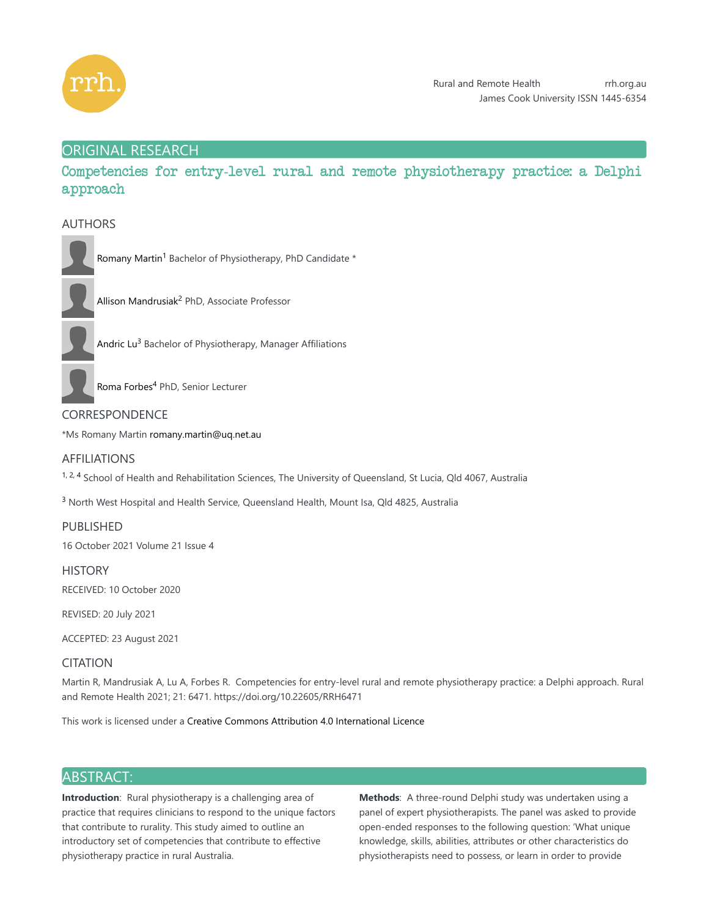

# ORIGINAL RESEARCH

Competencies for entry-level rural and remote physiotherapy practice: a Delphi approach

# AUTHORS



Romany Martin<sup>1</sup> Bachelor of Physiotherapy, PhD Candidate \*



Allison Mandrusiak<sup>2</sup> PhD, Associate Professor



Andric Lu<sup>3</sup> Bachelor of Physiotherapy, Manager Affiliations



Roma Forbes<sup>4</sup> PhD, Senior Lecturer

# CORRESPONDENCE

\*Ms Romany Martin romany.martin@uq.net.au

## AFFILIATIONS

 $1, 2, 4$  School of Health and Rehabilitation Sciences, The University of Queensland, St Lucia, Qld 4067, Australia

<sup>3</sup> North West Hospital and Health Service, Queensland Health, Mount Isa, Qld 4825, Australia

PUBLISHED

16 October 2021 Volume 21 Issue 4

**HISTORY** RECEIVED: 10 October 2020

REVISED: 20 July 2021

ACCEPTED: 23 August 2021

# CITATION

Martin R, Mandrusiak A, Lu A, Forbes R. Competencies for entry-level rural and remote physiotherapy practice: a Delphi approach. Rural and Remote Health 2021; 21: 6471. https://doi.org/10.22605/RRH6471

This work is licensed under a Creative Commons Attribution 4.0 International Licence

# ABSTRACT:

**Introduction**: Rural physiotherapy is a challenging area of practice that requires clinicians to respond to the unique factors that contribute to rurality. This study aimed to outline an introductory set of competencies that contribute to effective physiotherapy practice in rural Australia.

**Methods:** A three-round Delphi study was undertaken using a panel of expert physiotherapists. The panel was asked to provide open-ended responses to the following question: 'What unique knowledge, skills, abilities, attributes or other characteristics do physiotherapists need to possess, or learn in order to provide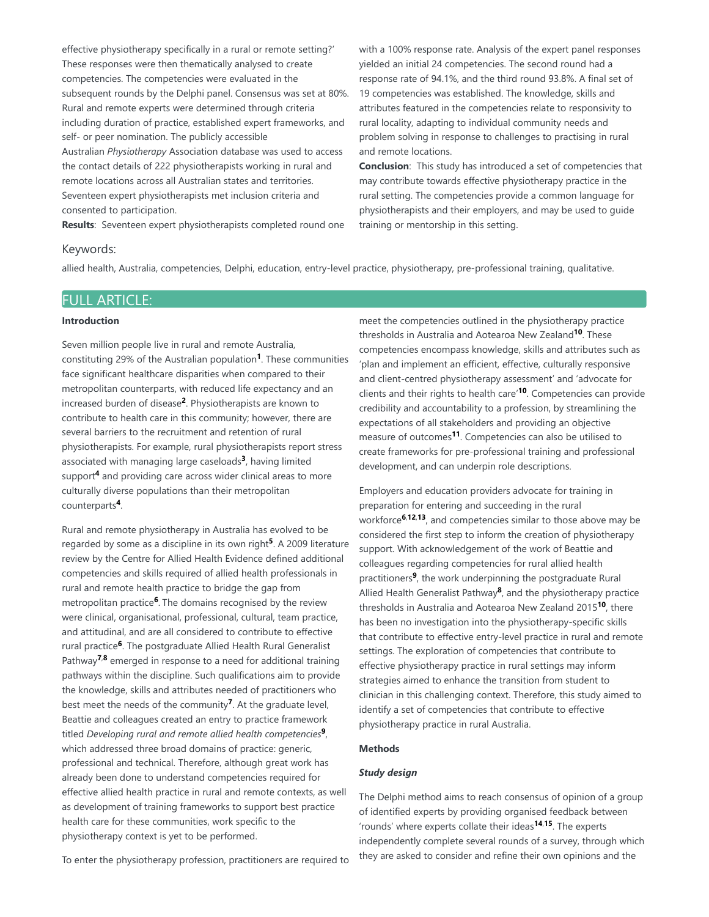effective physiotherapy specifically in a rural or remote setting?' These responses were then thematically analysed to create competencies. The competencies were evaluated in the subsequent rounds by the Delphi panel. Consensus was set at 80%. Rural and remote experts were determined through criteria including duration of practice, established expert frameworks, and self- or peer nomination. The publicly accessible Australian *Physiotherapy* Association database was used to access the contact details of 222 physiotherapists working in rural and remote locations across all Australian states and territories. Seventeen expert physiotherapists met inclusion criteria and consented to participation.

**Results:** Seventeen expert physiotherapists completed round one

with a 100% response rate. Analysis of the expert panel responses yielded an initial 24 competencies. The second round had a response rate of 94.1%, and the third round 93.8%. A final set of 19 competencies was established. The knowledge, skills and attributes featured in the competencies relate to responsivity to rural locality, adapting to individual community needs and problem solving in response to challenges to practising in rural and remote locations.

**Conclusion:** This study has introduced a set of competencies that may contribute towards effective physiotherapy practice in the rural setting. The competencies provide a common language for physiotherapists and their employers, and may be used to guide training or mentorship in this setting.

#### Keywords:

allied health, Australia, competencies, Delphi, education, entry-level practice, physiotherapy, pre-professional training, qualitative.

# FULL ARTICLE:

#### **Introduction**

Seven million people live in rural and remote Australia, constituting 29% of the Australian population<sup>1</sup>. These communities face significant healthcare disparities when compared to their metropolitan counterparts, with reduced life expectancy and an increased burden of disease<sup>2</sup>. Physiotherapists are known to contribute to health care in this community; however, there are several barriers to the recruitment and retention of rural physiotherapists. For example, rural physiotherapists report stress associated with managing large caseloads<sup>3</sup>, having limited support<sup>4</sup> and providing care across wider clinical areas to more culturally diverse populations than their metropolitan counterparts<sup>4</sup>.

Rural and remote physiotherapy in Australia has evolved to be regarded by some as a discipline in its own right<sup>5</sup>. A 2009 literature review by the Centre for Allied Health Evidence defined additional competencies and skills required of allied health professionals in rural and remote health practice to bridge the gap from metropolitan practice<sup>6</sup>. The domains recognised by the review were clinical, organisational, professional, cultural, team practice, and attitudinal, and are all considered to contribute to effective rural practice<sup>6</sup>. The postgraduate Allied Health Rural Generalist Pathway<sup>7,8</sup> emerged in response to a need for additional training pathways within the discipline. Such qualifications aim to provide the knowledge, skills and attributes needed of practitioners who best meet the needs of the community<sup>7</sup>. At the graduate level, Beattie and colleagues created an entry to practice framework titled Developing rural and remote allied health competencies<sup>9</sup>, which addressed three broad domains of practice: generic, professional and technical. Therefore, although great work has already been done to understand competencies required for effective allied health practice in rural and remote contexts, as well as development of training frameworks to support best practice health care for these communities, work specific to the physiotherapy context is yet to be performed.

meet the competencies outlined in the physiotherapy practice thresholds in Australia and Aotearoa New Zealand<sup>10</sup>. These competencies encompass knowledge, skills and attributes such as 'plan and implement an efficient, effective, culturally responsive and client-centred physiotherapy assessment' and 'advocate for clients and their rights to health care'<sup>10</sup>. Competencies can provide credibility and accountability to a profession, by streamlining the expectations of all stakeholders and providing an objective measure of outcomes<sup>11</sup>. Competencies can also be utilised to create frameworks for pre-professional training and professional development, and can underpin role descriptions.

Employers and education providers advocate for training in preparation for entering and succeeding in the rural workforce<sup>6,12,13</sup>, and competencies similar to those above may be considered the first step to inform the creation of physiotherapy support. With acknowledgement of the work of Beattie and colleagues regarding competencies for rural allied health practitioners<sup>9</sup>, the work underpinning the postgraduate Rural Allied Health Generalist Pathway<sup>8</sup>, and the physiotherapy practice thresholds in Australia and Aotearoa New Zealand 2015<sup>10</sup>, there has been no investigation into the physiotherapy-specific skills that contribute to effective entry-level practice in rural and remote settings. The exploration of competencies that contribute to effective physiotherapy practice in rural settings may inform strategies aimed to enhance the transition from student to clinician in this challenging context. Therefore, this study aimed to identify a set of competencies that contribute to effective physiotherapy practice in rural Australia.

## **Methods**

#### *Study design*

The Delphi method aims to reach consensus of opinion of a group of identified experts by providing organised feedback between 'rounds' where experts collate their ideas<sup>14,15</sup>. The experts independently complete several rounds of a survey, through which they are asked to consider and refine their own opinions and the

To enter the physiotherapy profession, practitioners are required to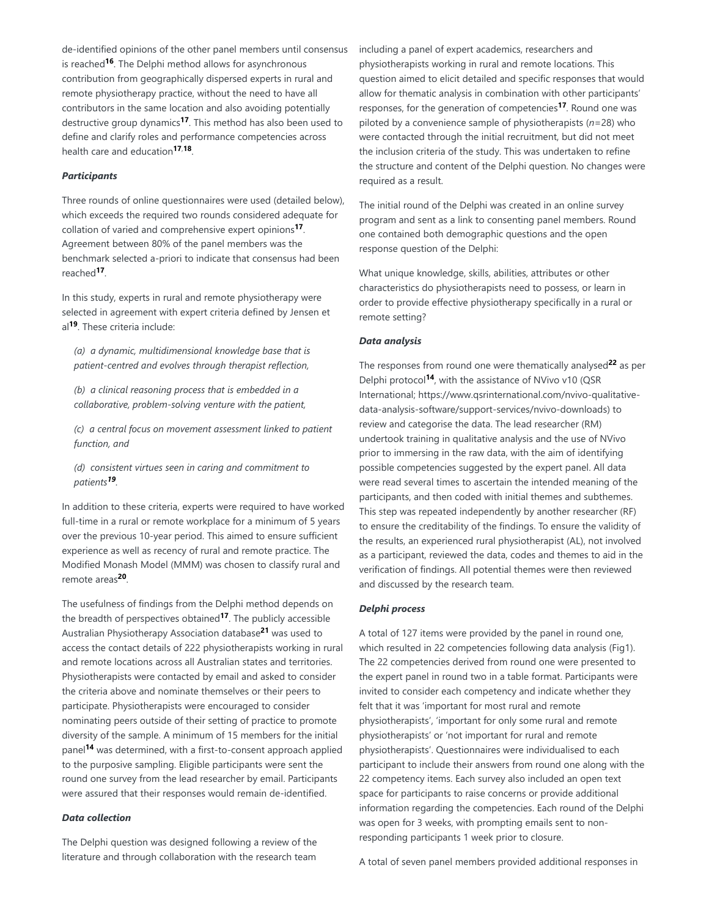de-identified opinions of the other panel members until consensus is reached<sup>16</sup>. The Delphi method allows for asynchronous contribution from geographically dispersed experts in rural and remote physiotherapy practice, without the need to have all contributors in the same location and also avoiding potentially destructive group dynamics<sup>17</sup>. This method has also been used to define and clarify roles and performance competencies across health care and education<sup>17,18</sup>.

#### *Participants*

Three rounds of online questionnaires were used (detailed below), which exceeds the required two rounds considered adequate for collation of varied and comprehensive expert opinions<sup>17</sup>. Agreement between 80% of the panel members was the benchmark selected a-priori to indicate that consensus had been reached<sup>17</sup>.

In this study, experts in rural and remote physiotherapy were selected in agreement with expert criteria defined by Jensen et al<sup>19</sup>. These criteria include:

*(a) a dynamic, multidimensional knowledge base that is patient-centred and evolves through therapist reflection,*

*(b) a clinical reasoning process that is embedded in a collaborative, problem-solving venture with the patient,*

*(c) a central focus on movement assessment linked to patient function, and*

*(d) consistent virtues seen in caring and commitment to patients . 19*

In addition to these criteria, experts were required to have worked full-time in a rural or remote workplace for a minimum of 5 years over the previous 10-year period. This aimed to ensure sufficient experience as well as recency of rural and remote practice. The Modified Monash Model (MMM) was chosen to classify rural and remote areas<sup>20</sup>.

The usefulness of findings from the Delphi method depends on the breadth of perspectives obtained<sup>17</sup>. The publicly accessible Australian Physiotherapy Association database<sup>21</sup> was used to access the contact details of 222 physiotherapists working in rural and remote locations across all Australian states and territories. Physiotherapists were contacted by email and asked to consider the criteria above and nominate themselves or their peers to participate. Physiotherapists were encouraged to consider nominating peers outside of their setting of practice to promote diversity of the sample. A minimum of 15 members for the initial panel<sup>14</sup> was determined, with a first-to-consent approach applied to the purposive sampling. Eligible participants were sent the round one survey from the lead researcher by email. Participants were assured that their responses would remain de-identified.

### *Data collection*

The Delphi question was designed following a review of the literature and through collaboration with the research team

including a panel of expert academics, researchers and physiotherapists working in rural and remote locations. This question aimed to elicit detailed and specific responses that would allow for thematic analysis in combination with other participants' responses, for the generation of competencies<sup>17</sup>. Round one was piloted by a convenience sample of physiotherapists (*n*=28) who were contacted through the initial recruitment, but did not meet the inclusion criteria of the study. This was undertaken to refine the structure and content of the Delphi question. No changes were required as a result.

The initial round of the Delphi was created in an online survey program and sent as a link to consenting panel members. Round one contained both demographic questions and the open response question of the Delphi:

What unique knowledge, skills, abilities, attributes or other characteristics do physiotherapists need to possess, or learn in order to provide effective physiotherapy specifically in a rural or remote setting?

## *Data analysis*

The responses from round one were thematically analysed<sup>22</sup> as per Delphi protocol<sup>14</sup>, with the assistance of NVivo v10 (QSR International; https://www.qsrinternational.com/nvivo-qualitativedata-analysis-software/support-services/nvivo-downloads) to review and categorise the data. The lead researcher (RM) undertook training in qualitative analysis and the use of NVivo prior to immersing in the raw data, with the aim of identifying possible competencies suggested by the expert panel. All data were read several times to ascertain the intended meaning of the participants, and then coded with initial themes and subthemes. This step was repeated independently by another researcher (RF) to ensure the creditability of the findings. To ensure the validity of the results, an experienced rural physiotherapist (AL), not involved as a participant, reviewed the data, codes and themes to aid in the verification of findings. All potential themes were then reviewed and discussed by the research team.

#### *Delphi process*

A total of 127 items were provided by the panel in round one, which resulted in 22 competencies following data analysis (Fig1). The 22 competencies derived from round one were presented to the expert panel in round two in a table format. Participants were invited to consider each competency and indicate whether they felt that it was 'important for most rural and remote physiotherapists', 'important for only some rural and remote physiotherapists' or 'not important for rural and remote physiotherapists'. Questionnaires were individualised to each participant to include their answers from round one along with the 22 competency items. Each survey also included an open text space for participants to raise concerns or provide additional information regarding the competencies. Each round of the Delphi was open for 3 weeks, with prompting emails sent to nonresponding participants 1 week prior to closure.

A total of seven panel members provided additional responses in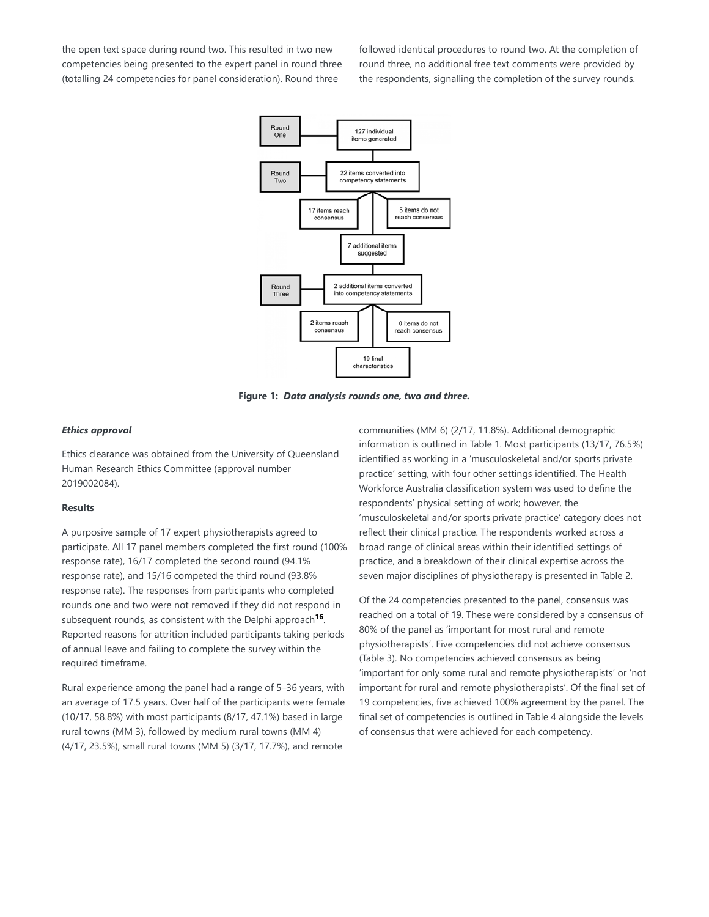the open text space during round two. This resulted in two new competencies being presented to the expert panel in round three (totalling 24 competencies for panel consideration). Round three

followed identical procedures to round two. At the completion of round three, no additional free text comments were provided by the respondents, signalling the completion of the survey rounds.



**Figure 1:** *Data analysis rounds one, two and three.*

#### *Ethics approval*

Ethics clearance was obtained from the University of Queensland Human Research Ethics Committee (approval number 2019002084).

## **Results**

A purposive sample of 17 expert physiotherapists agreed to participate. All 17 panel members completed the first round (100% response rate), 16/17 completed the second round (94.1% response rate), and 15/16 competed the third round (93.8% response rate). The responses from participants who completed rounds one and two were not removed if they did not respond in subsequent rounds, as consistent with the Delphi approach<sup>16</sup>. Reported reasons for attrition included participants taking periods of annual leave and failing to complete the survey within the required timeframe.

Rural experience among the panel had a range of 5–36 years, with an average of 17.5 years. Over half of the participants were female (10/17, 58.8%) with most participants (8/17, 47.1%) based in large rural towns (MM 3), followed by medium rural towns (MM 4) (4/17, 23.5%), small rural towns (MM 5) (3/17, 17.7%), and remote

communities (MM 6) (2/17, 11.8%). Additional demographic information is outlined in Table 1. Most participants (13/17, 76.5%) identified as working in a 'musculoskeletal and/or sports private practice' setting, with four other settings identified. The Health Workforce Australia classification system was used to define the respondents' physical setting of work; however, the 'musculoskeletal and/or sports private practice' category does not reflect their clinical practice. The respondents worked across a broad range of clinical areas within their identified settings of practice, and a breakdown of their clinical expertise across the seven major disciplines of physiotherapy is presented in Table 2.

Of the 24 competencies presented to the panel, consensus was reached on a total of 19. These were considered by a consensus of 80% of the panel as 'important for most rural and remote physiotherapists'. Five competencies did not achieve consensus (Table 3). No competencies achieved consensus as being 'important for only some rural and remote physiotherapists' or 'not important for rural and remote physiotherapists'. Of the final set of 19 competencies, five achieved 100% agreement by the panel. The final set of competencies is outlined in Table 4 alongside the levels of consensus that were achieved for each competency.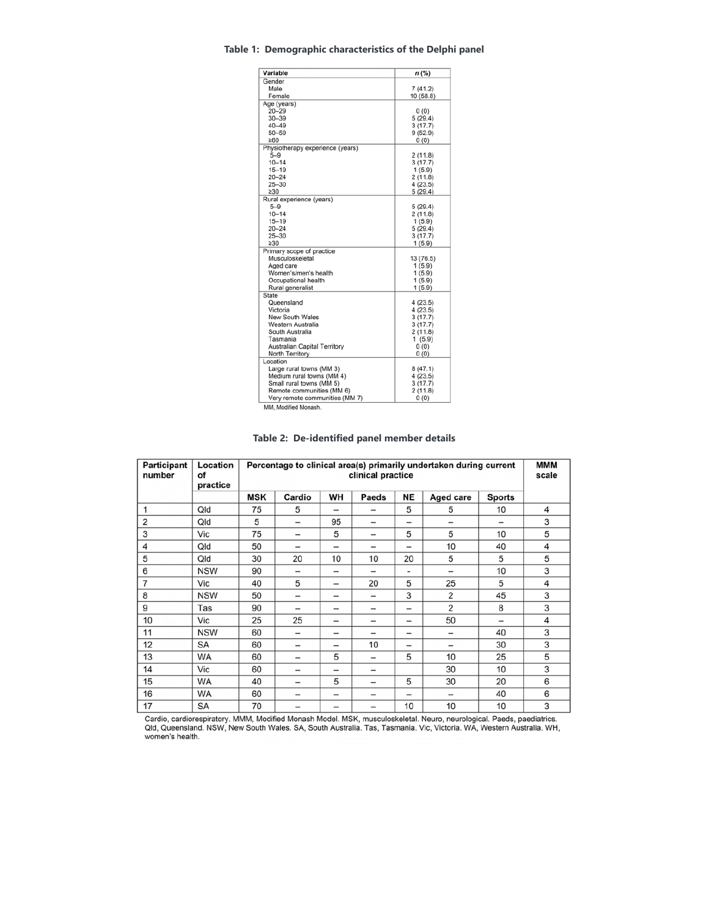## **Table 1: Demographic characteristics of the Delphi panel**

| Variable                         | n (%)     |
|----------------------------------|-----------|
| Gender                           |           |
| Male                             | 7(41.2)   |
| Female                           | 10(58.8)  |
| Age (years)                      |           |
| $20 - 29$                        | 0(0)      |
| $30 - 39$                        | 5(29.4)   |
| $40 - 49$                        | 3(17.7)   |
| $50 - 59$                        | 9(52.9)   |
| >60                              | 0(0)      |
| Physiotherapy experience (years) |           |
| $5 - 9$                          | 2(11.8)   |
| $10 - 14$                        | 3(17.7)   |
| $15 - 19$                        | 1(5.9)    |
| $20 - 24$                        | 2(11.8)   |
| $25 - 30$                        | 4(23.5)   |
| $\geq 30$                        | 5(29.4)   |
| Rural experience (years)         |           |
| $5 - 9$                          | 5(29.4)   |
| $10 - 14$                        | 2(11.8)   |
| $15 - 19$                        | 1(5.9)    |
| $20 - 24$                        | 5(29.4)   |
| $25 - 30$                        | 3(17.7)   |
| $\geq 30$                        | 1(5.9)    |
| Primary scope of practice        |           |
| Musculoskeletal                  | 13 (76.5) |
| Aged care                        | 1(5.9)    |
| Women's/men's health             | 1(5.9)    |
| Occupational health              | 1(5.9)    |
| Rural generalist                 | 1(5.9)    |
| <b>State</b>                     |           |
| Queensland                       | 4(23.5)   |
| Victoria                         | 4(23.5)   |
| <b>New South Wales</b>           | 3(17.7)   |
| Western Australia                | 3(17.7)   |
| South Australia                  | 2(11.8)   |
| Tasmania                         | 1(5.9)    |
| Australian Capital Territory     | 0(0)      |
| North Territory                  | 0(0)      |
| Location                         |           |
| Large rural towns (MM 3)         | 8(47.1)   |
| Medium rural towns (MM 4)        | 4(23.5)   |
| Small rural towns (MM 5)         | 3(17.7)   |
| Remote communities (MM 6)        | 2(11.8)   |
| Very remote communities (MM 7)   | 0(0)      |

MM, Modified Monash.

|  | Table 2: De-identified panel member details |  |  |  |
|--|---------------------------------------------|--|--|--|
|--|---------------------------------------------|--|--|--|

| Participant<br>number | Location<br>оf<br>practice | Percentage to clinical area(s) primarily undertaken during current<br>clinical practice |                          |                          |                          | MMM<br>scale             |                          |                          |   |
|-----------------------|----------------------------|-----------------------------------------------------------------------------------------|--------------------------|--------------------------|--------------------------|--------------------------|--------------------------|--------------------------|---|
|                       |                            | <b>MSK</b>                                                                              | Cardio                   | WН                       | Paeds                    | <b>NE</b>                | <b>Aged care</b>         | <b>Sports</b>            |   |
| 1                     | Qld                        | 75                                                                                      | 5                        | $\overline{\phantom{0}}$ | $\overline{\phantom{0}}$ | 5                        | 5                        | 10                       | 4 |
| 2                     | Qld                        | 5                                                                                       | $\overline{\phantom{0}}$ | 95                       |                          | -                        | $\overline{\phantom{0}}$ | $\overline{\phantom{0}}$ | 3 |
| 3                     | Vic                        | 75                                                                                      | $\overline{\phantom{0}}$ | 5                        | $\qquad \qquad -$        | 5                        | 5                        | 10                       | 5 |
| 4                     | Qld                        | 50                                                                                      | $\overline{\phantom{0}}$ | $\overline{\phantom{0}}$ | $\qquad \qquad$          |                          | 10                       | 40                       | 4 |
| 5                     | Qld                        | 30                                                                                      | 20                       | 10                       | 10                       | 20                       | 5                        | 5                        | 5 |
| 6                     | <b>NSW</b>                 | 90                                                                                      | $\overline{\phantom{0}}$ | $\qquad \qquad$          |                          | $\overline{\phantom{0}}$ | $\overline{\phantom{0}}$ | 10                       | 3 |
| 7                     | Vic                        | 40                                                                                      | 5                        | $\qquad \qquad$          | 20                       | 5                        | 25                       | 5                        | 4 |
| 8                     | <b>NSW</b>                 | 50                                                                                      |                          | $\overline{\phantom{0}}$ | $\overline{\phantom{0}}$ | 3                        | 2                        | 45                       | 3 |
| 9                     | Tas                        | 90                                                                                      | $\overline{\phantom{0}}$ | -                        | $\overline{\phantom{0}}$ | -                        | $\overline{2}$           | 8                        | 3 |
| 10                    | Vic                        | 25                                                                                      | 25                       | -                        | $\overline{\phantom{0}}$ | $\overline{\phantom{0}}$ | 50                       | $\overline{\phantom{0}}$ | 4 |
| 11                    | <b>NSW</b>                 | 60                                                                                      |                          | $\qquad \qquad$          | $\overline{\phantom{0}}$ | $\qquad \qquad$          | $\qquad \qquad$          | 40                       | 3 |
| 12                    | SA                         | 60                                                                                      | $\overline{\phantom{m}}$ |                          | 10                       |                          | $\qquad \qquad$          | 30                       | 3 |
| 13                    | <b>WA</b>                  | 60                                                                                      | $\overline{\phantom{0}}$ | 5                        | $\overline{\phantom{0}}$ | 5                        | 10                       | 25                       | 5 |
| 14                    | Vic                        | 60                                                                                      | $\qquad \qquad$          | $\qquad \qquad$          | $\qquad \qquad$          |                          | 30                       | 10                       | 3 |
| 15                    | <b>WA</b>                  | 40                                                                                      | -                        | 5                        |                          | 5                        | 30                       | 20                       | 6 |
| 16                    | <b>WA</b>                  | 60                                                                                      | -                        | $\qquad \qquad$          |                          |                          | $\qquad \qquad$          | 40                       | 6 |
| 17                    | SA                         | 70                                                                                      | -                        | -                        |                          | 10                       | 10                       | 10                       | 3 |

Cardio, cardiorespiratory. MMM, Modified Monash Model. MSK, musculoskeletal. Neuro, neurological. Paeds, paediatrics.<br>Qld, Queensland. NSW, New South Wales. SA, South Australia. Tas, Tasmania. Vic, Victoria. WA, Western Au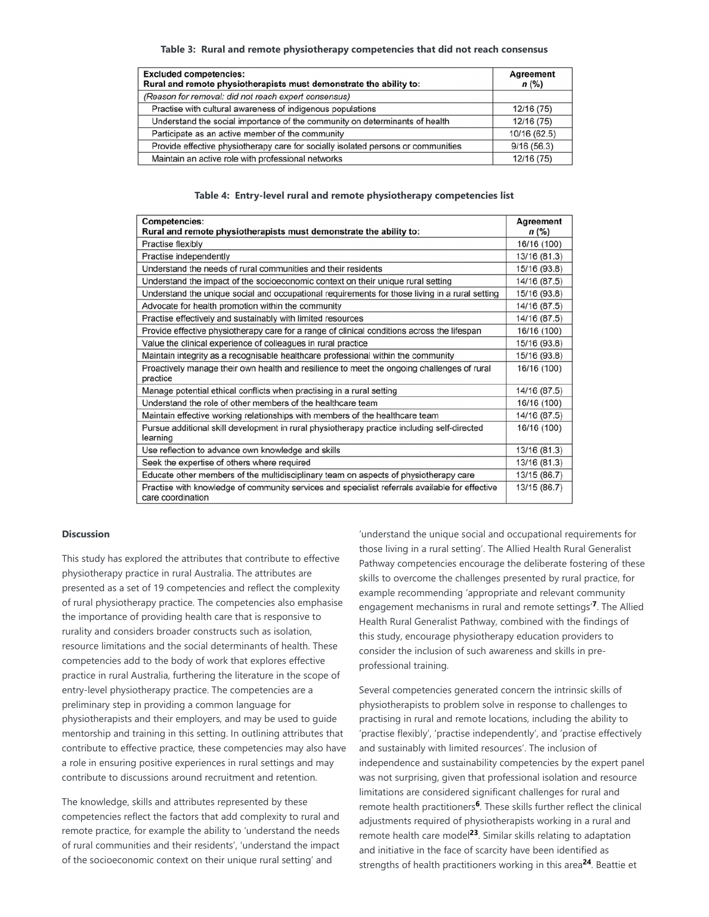#### **Table 3: Rural and remote physiotherapy competencies that did not reach consensus**

| <b>Excluded competencies:</b><br>Rural and remote physiotherapists must demonstrate the ability to: | <b>Agreement</b><br>$n$ (%) |
|-----------------------------------------------------------------------------------------------------|-----------------------------|
| (Reason for removal: did not reach expert consensus)                                                |                             |
| Practise with cultural awareness of indigenous populations                                          | 12/16 (75)                  |
| Understand the social importance of the community on determinants of health                         | 12/16 (75)                  |
| Participate as an active member of the community                                                    | 10/16 (62.5)                |
| Provide effective physiotherapy care for socially isolated persons or communities                   | 9/16(56.3)                  |
| Maintain an active role with professional networks                                                  | 12/16 (75)                  |

#### **Table 4: Entry-level rural and remote physiotherapy competencies list**

| <b>Competencies:</b>                                                                                                | <b>Agreement</b> |
|---------------------------------------------------------------------------------------------------------------------|------------------|
| Rural and remote physiotherapists must demonstrate the ability to:                                                  | n (%)            |
| Practise flexibly                                                                                                   | 16/16 (100)      |
| Practise independently                                                                                              | 13/16 (81.3)     |
| Understand the needs of rural communities and their residents                                                       | 15/16 (93.8)     |
| Understand the impact of the socioeconomic context on their unique rural setting                                    | 14/16 (87.5)     |
| Understand the unique social and occupational requirements for those living in a rural setting                      | 15/16 (93.8)     |
| Advocate for health promotion within the community                                                                  | 14/16 (87.5)     |
| Practise effectively and sustainably with limited resources                                                         | 14/16 (87.5)     |
| Provide effective physiotherapy care for a range of clinical conditions across the lifespan                         | 16/16 (100)      |
| Value the clinical experience of colleagues in rural practice                                                       | 15/16 (93.8)     |
| Maintain integrity as a recognisable healthcare professional within the community                                   | 15/16 (93.8)     |
| Proactively manage their own health and resilience to meet the ongoing challenges of rural                          | 16/16 (100)      |
| practice                                                                                                            |                  |
| Manage potential ethical conflicts when practising in a rural setting                                               | 14/16 (87.5)     |
| Understand the role of other members of the healthcare team                                                         | 16/16 (100)      |
| Maintain effective working relationships with members of the healthcare team                                        | 14/16 (87.5)     |
| Pursue additional skill development in rural physiotherapy practice including self-directed                         | 16/16 (100)      |
| learning                                                                                                            |                  |
| Use reflection to advance own knowledge and skills                                                                  | 13/16 (81.3)     |
| Seek the expertise of others where required                                                                         | 13/16 (81.3)     |
| Educate other members of the multidisciplinary team on aspects of physiotherapy care                                | 13/15 (86.7)     |
| Practise with knowledge of community services and specialist referrals available for effective<br>care coordination | 13/15 (86.7)     |

#### **Discussion**

This study has explored the attributes that contribute to effective physiotherapy practice in rural Australia. The attributes are presented as a set of 19 competencies and reflect the complexity of rural physiotherapy practice. The competencies also emphasise the importance of providing health care that is responsive to rurality and considers broader constructs such as isolation, resource limitations and the social determinants of health. These competencies add to the body of work that explores effective practice in rural Australia, furthering the literature in the scope of entry-level physiotherapy practice. The competencies are a preliminary step in providing a common language for physiotherapists and their employers, and may be used to guide mentorship and training in this setting. In outlining attributes that contribute to effective practice, these competencies may also have a role in ensuring positive experiences in rural settings and may contribute to discussions around recruitment and retention.

The knowledge, skills and attributes represented by these competencies reflect the factors that add complexity to rural and remote practice, for example the ability to 'understand the needs of rural communities and their residents', 'understand the impact of the socioeconomic context on their unique rural setting' and

'understand the unique social and occupational requirements for those living in a rural setting'. The Allied Health Rural Generalist Pathway competencies encourage the deliberate fostering of these skills to overcome the challenges presented by rural practice, for example recommending 'appropriate and relevant community engagement mechanisms in rural and remote settings'<sup>7</sup>. The Allied Health Rural Generalist Pathway, combined with the findings of this study, encourage physiotherapy education providers to consider the inclusion of such awareness and skills in preprofessional training.

Several competencies generated concern the intrinsic skills of physiotherapists to problem solve in response to challenges to practising in rural and remote locations, including the ability to 'practise flexibly', 'practise independently', and 'practise effectively and sustainably with limited resources'. The inclusion of independence and sustainability competencies by the expert panel was not surprising, given that professional isolation and resource limitations are considered significant challenges for rural and remote health practitioners<sup>6</sup>. These skills further reflect the clinical adjustments required of physiotherapists working in a rural and remote health care model<sup>23</sup>. Similar skills relating to adaptation and initiative in the face of scarcity have been identified as strengths of health practitioners working in this area<sup>24</sup>. Beattie et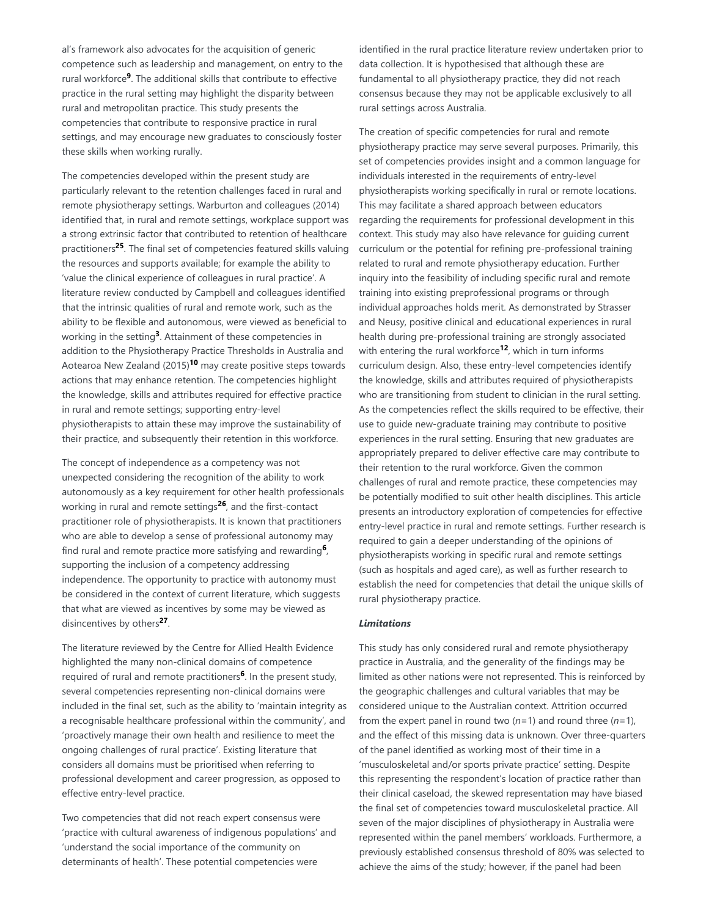al's framework also advocates for the acquisition of generic competence such as leadership and management, on entry to the rural workforce<sup>9</sup>. The additional skills that contribute to effective practice in the rural setting may highlight the disparity between rural and metropolitan practice. This study presents the competencies that contribute to responsive practice in rural settings, and may encourage new graduates to consciously foster these skills when working rurally.

The competencies developed within the present study are particularly relevant to the retention challenges faced in rural and remote physiotherapy settings. Warburton and colleagues (2014) identified that, in rural and remote settings, workplace support was a strong extrinsic factor that contributed to retention of healthcare practitioners<sup>25</sup>. The final set of competencies featured skills valuing the resources and supports available; for example the ability to 'value the clinical experience of colleagues in rural practice'. A literature review conducted by Campbell and colleagues identified that the intrinsic qualities of rural and remote work, such as the ability to be flexible and autonomous, were viewed as beneficial to working in the setting<sup>3</sup>. Attainment of these competencies in addition to the Physiotherapy Practice Thresholds in Australia and Aotearoa New Zealand (2015)<sup>10</sup> may create positive steps towards actions that may enhance retention. The competencies highlight the knowledge, skills and attributes required for effective practice in rural and remote settings; supporting entry-level physiotherapists to attain these may improve the sustainability of their practice, and subsequently their retention in this workforce.

The concept of independence as a competency was not unexpected considering the recognition of the ability to work autonomously as a key requirement for other health professionals working in rural and remote settings<sup>26</sup>, and the first-contact practitioner role of physiotherapists. It is known that practitioners who are able to develop a sense of professional autonomy may find rural and remote practice more satisfying and rewarding<sup>6</sup>, supporting the inclusion of a competency addressing independence. The opportunity to practice with autonomy must be considered in the context of current literature, which suggests that what are viewed as incentives by some may be viewed as disincentives by others<sup>27</sup>.

The literature reviewed by the Centre for Allied Health Evidence highlighted the many non-clinical domains of competence required of rural and remote practitioners<sup>6</sup>. In the present study, several competencies representing non-clinical domains were included in the final set, such as the ability to 'maintain integrity as a recognisable healthcare professional within the community', and 'proactively manage their own health and resilience to meet the ongoing challenges of rural practice'. Existing literature that considers all domains must be prioritised when referring to professional development and career progression, as opposed to effective entry-level practice.

Two competencies that did not reach expert consensus were 'practice with cultural awareness of indigenous populations' and 'understand the social importance of the community on determinants of health'. These potential competencies were

identified in the rural practice literature review undertaken prior to data collection. It is hypothesised that although these are fundamental to all physiotherapy practice, they did not reach consensus because they may not be applicable exclusively to all rural settings across Australia.

The creation of specific competencies for rural and remote physiotherapy practice may serve several purposes. Primarily, this set of competencies provides insight and a common language for individuals interested in the requirements of entry-level physiotherapists working specifically in rural or remote locations. This may facilitate a shared approach between educators regarding the requirements for professional development in this context. This study may also have relevance for guiding current curriculum or the potential for refining pre-professional training related to rural and remote physiotherapy education. Further inquiry into the feasibility of including specific rural and remote training into existing preprofessional programs or through individual approaches holds merit. As demonstrated by Strasser and Neusy, positive clinical and educational experiences in rural health during pre-professional training are strongly associated with entering the rural workforce<sup>12</sup>, which in turn informs curriculum design. Also, these entry-level competencies identify the knowledge, skills and attributes required of physiotherapists who are transitioning from student to clinician in the rural setting. As the competencies reflect the skills required to be effective, their use to guide new-graduate training may contribute to positive experiences in the rural setting. Ensuring that new graduates are appropriately prepared to deliver effective care may contribute to their retention to the rural workforce. Given the common challenges of rural and remote practice, these competencies may be potentially modified to suit other health disciplines. This article presents an introductory exploration of competencies for effective entry-level practice in rural and remote settings. Further research is required to gain a deeper understanding of the opinions of physiotherapists working in specific rural and remote settings (such as hospitals and aged care), as well as further research to establish the need for competencies that detail the unique skills of rural physiotherapy practice.

## *Limitations*

This study has only considered rural and remote physiotherapy practice in Australia, and the generality of the findings may be limited as other nations were not represented. This is reinforced by the geographic challenges and cultural variables that may be considered unique to the Australian context. Attrition occurred from the expert panel in round two (*n*=1) and round three (*n*=1), and the effect of this missing data is unknown. Over three-quarters of the panel identified as working most of their time in a 'musculoskeletal and/or sports private practice' setting. Despite this representing the respondent's location of practice rather than their clinical caseload, the skewed representation may have biased the final set of competencies toward musculoskeletal practice. All seven of the major disciplines of physiotherapy in Australia were represented within the panel members' workloads. Furthermore, a previously established consensus threshold of 80% was selected to achieve the aims of the study; however, if the panel had been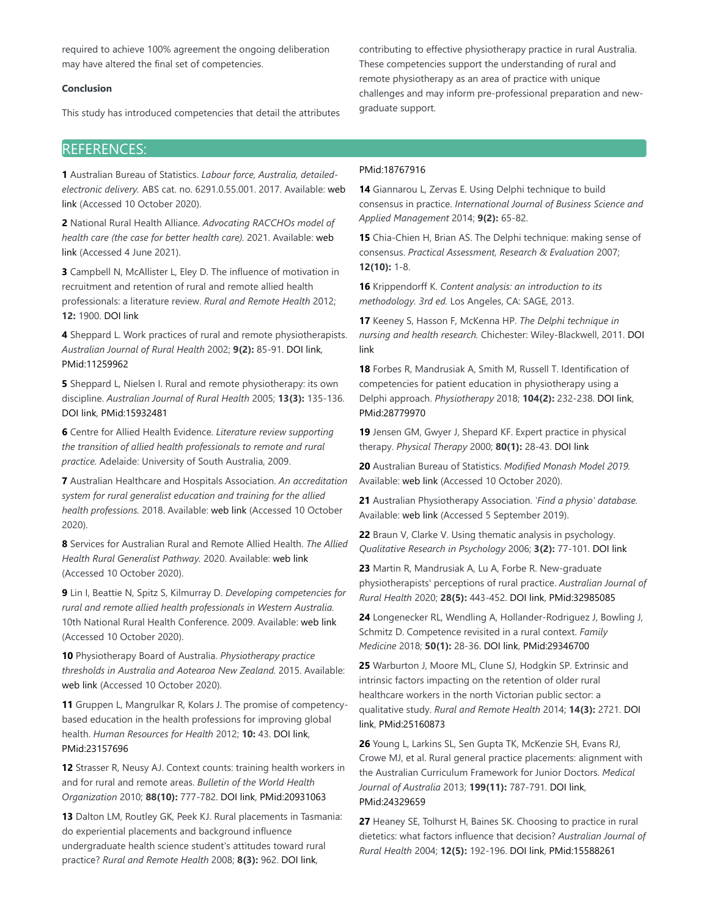required to achieve 100% agreement the ongoing deliberation may have altered the final set of competencies.

## **Conclusion**

This study has introduced competencies that detail the attributes

contributing to effective physiotherapy practice in rural Australia. These competencies support the understanding of rural and remote physiotherapy as an area of practice with unique challenges and may inform pre-professional preparation and newgraduate support.

# REFERENCES:

**1** Australian Bureau of Statistics. *Labour force, Australia, detailedelectronic delivery.* ABS cat. no. 6291.0.55.001. 2017. Available: web link (Accessed 10 October 2020).

**2** National Rural Health Alliance. *Advocating RACCHOs model of health care (the case for better health care).* 2021. Available: web link (Accessed 4 June 2021).

**3** Campbell N, McAllister L, Eley D. The influence of motivation in recruitment and retention of rural and remote allied health professionals: a literature review. *Rural and Remote Health* 2012; **12:** 1900. DOI link

**4** Sheppard L. Work practices of rural and remote physiotherapists. *Australian Journal of Rural Health* 2002; **9(2):** 85-91. DOI link, PMid:11259962

**5** Sheppard L, Nielsen I. Rural and remote physiotherapy: its own discipline. *Australian Journal of Rural Health* 2005; **13(3):** 135-136. DOI link, PMid:15932481

**6** Centre for Allied Health Evidence. *Literature review supporting the transition of allied health professionals to remote and rural practice.* Adelaide: University of South Australia, 2009.

**7** Australian Healthcare and Hospitals Association. *An accreditation system for rural generalist education and training for the allied health professions.* 2018. Available: web link (Accessed 10 October 2020).

**8** Services for Australian Rural and Remote Allied Health. *The Allied Health Rural Generalist Pathway.* 2020. Available: web link (Accessed 10 October 2020).

**9** Lin I, Beattie N, Spitz S, Kilmurray D. *Developing competencies for rural and remote allied health professionals in Western Australia.* 10th National Rural Health Conference. 2009. Available: web link (Accessed 10 October 2020).

**10** Physiotherapy Board of Australia. *Physiotherapy practice thresholds in Australia and Aotearoa New Zealand.* 2015. Available: web link (Accessed 10 October 2020).

**11** Gruppen L, Mangrulkar R, Kolars J. The promise of competencybased education in the health professions for improving global health. *Human Resources for Health* 2012; **10:** 43. DOI link, PMid:23157696

**12** Strasser R, Neusy AJ. Context counts: training health workers in and for rural and remote areas. *Bulletin of the World Health Organization* 2010; **88(10):** 777-782. DOI link, PMid:20931063

**13** Dalton LM, Routley GK, Peek KJ. Rural placements in Tasmania: do experiential placements and background influence undergraduate health science student's attitudes toward rural practice? *Rural and Remote Health* 2008; **8(3):** 962. DOI link,

#### PMid:18767916

**14** Giannarou L, Zervas E. Using Delphi technique to build consensus in practice. *International Journal of Business Science and Applied Management* 2014; **9(2):** 65-82.

**15** Chia-Chien H, Brian AS. The Delphi technique: making sense of consensus. *Practical Assessment, Research & Evaluation* 2007; **12(10):** 1-8.

**16** Krippendorff K. *Content analysis: an introduction to its methodology. 3rd ed.* Los Angeles, CA: SAGE, 2013.

**17** Keeney S, Hasson F, McKenna HP. *The Delphi technique in nursing and health research.* Chichester: Wiley-Blackwell, 2011. DOI link

**18** Forbes R, Mandrusiak A, Smith M, Russell T. Identification of competencies for patient education in physiotherapy using a Delphi approach. *Physiotherapy* 2018; **104(2):** 232-238. DOI link, PMid:28779970

**19** Jensen GM, Gwyer J, Shepard KF. Expert practice in physical therapy. *Physical Therapy* 2000; **80(1):** 28-43. DOI link

**20** Australian Bureau of Statistics. *Modified Monash Model 2019.* Available: web link (Accessed 10 October 2020).

**21** Australian Physiotherapy Association. *'Find a physio' database.* Available: web link (Accessed 5 September 2019).

**22** Braun V, Clarke V. Using thematic analysis in psychology. *Qualitative Research in Psychology* 2006; **3(2):** 77-101. DOI link

**23** Martin R, Mandrusiak A, Lu A, Forbe R. New-graduate physiotherapists' perceptions of rural practice. *Australian Journal of Rural Health* 2020; **28(5):** 443-452. DOI link, PMid:32985085

**24** Longenecker RL, Wendling A, Hollander-Rodriguez J, Bowling J, Schmitz D. Competence revisited in a rural context. *Family Medicine* 2018; **50(1):** 28-36. DOI link, PMid:29346700

**25** Warburton J, Moore ML, Clune SJ, Hodgkin SP. Extrinsic and intrinsic factors impacting on the retention of older rural healthcare workers in the north Victorian public sector: a qualitative study. *Rural and Remote Health* 2014; **14(3):** 2721. DOI link, PMid:25160873

**26** Young L, Larkins SL, Sen Gupta TK, McKenzie SH, Evans RJ, Crowe MJ, et al. Rural general practice placements: alignment with the Australian Curriculum Framework for Junior Doctors. *Medical Journal of Australia* 2013; **199(11):** 787-791. DOI link, PMid:24329659

**27** Heaney SE, Tolhurst H, Baines SK. Choosing to practice in rural dietetics: what factors influence that decision? *Australian Journal of Rural Health* 2004; **12(5):** 192-196. DOI link, PMid:15588261